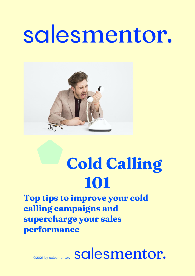# salesmentor.



## **Cold Calling 101**

**Top tips to improve your cold calling campaigns and supercharge your sales performance**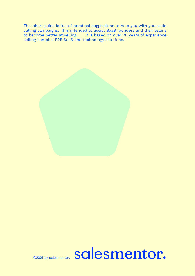This short guide is full of practical suggestions to help you with your cold calling campaigns. It is intended to assist SaaS founders and their teams to become better at selling. It is based on over 20 years of experience, selling complex B2B SaaS and technology solutions.

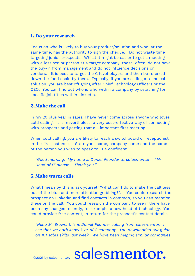#### **1. Do your research**

Focus on who is likely to buy your product/solution and who, at the same time, has the authority to sign the cheque. Do not waste time targeting junior prospects. Whilst it might be easier to get a meeting with a less senior person at a target company, these, often, do not have the buy-in from management and do not influence decisions on vendors. It is best to target the C level players and then be referred down the food chain by them. Typically, if you are selling a technical solution, you are best off going after Chief Technology Officers or the CEO. You can find out who is who within a company by searching for specific job titles within LinkedIn.

#### **2.Make the call**

In my 20 plus year in sales, I have never come across anyone who loves cold calling. It is, nevertheless, a very cost-effective way of connecting with prospects and getting that all-important first meeting.

When cold calling, you are likely to reach a switchboard or receptionist in the first instance. State your name, company name and the name of the person you wish to speak to. Be confident.

*"Good morning. My name is Daniel Feander at salesmentor. "Mr Head of IT please. Thank you."*

#### **3. Make warm calls**

What I mean by this is ask yourself "what can I do to make the call less out of the blue and more attention grabbing?". You could research the prospect on LinkedIn and find contacts in common, so you can mention these on the call. You could research the company to see if there have been any changes recently, for example, a new head of technology. You could provide free content, in return for the prospect's contact details.

*"Hello Mr Brown, this is Daniel Feander calling from salesmentor. I see that we both know X at ABC company. You downloaded our guide on 101 sales skills last week. We have been helping similar companies*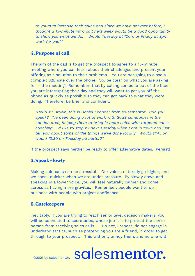*to yours to increase their sales and since we have not met before, I thought a 15-minute intro call next week would be a good opportunity to show you what we do. Would Tuesday at 10am or Friday at 3pm work for you?"*

#### **4.Purpose of call**

The aim of the call is to get the prospect to agree to a 15-minute meeting where you can learn about their challenges and present your offering as a solution to their problems. You are not going to close a complex B2B sale over the phone. So, be clear on what you are asking for – the meeting! Remember, that by calling someone out of the blue you are interrupting their day and they will want to get you off the phone as quickly as possible so they can get back to what they were doing. Therefore, be brief and confident.

*"Hello Mr Brown, this is Daniel Feander from salesmentor. Can you speak? I've been doing a lot of work with SaaS companies in the London area, helping them to bring in more sales with targeted sales coaching. I'd like to stop by next Tuesday when I am in town and just tell you about some of the things we've done locally. Would 11:45 or would 13:30 on Tuesday be better?"*

If the prospect says neither be ready to offer alternative dates. Persist!

#### **5.Speak slowly**

Making cold calls can be stressful. Our voices naturally go higher, and we speak quicker when we are under pressure. By slowly down and speaking in a lower voice, you will feel naturally calmer and come across as having more gravitas. Remember, people want to do business with people who project confidence.

#### **6.Gatekeepers**

Inevitably, if you are trying to reach senior level decision makers, you will be connected to secretaries, whose job it is to protect the senior person from receiving sales calls. Do not, I repeat, do not engage in underhand tactics, such as pretending you are a friend, in order to get through to your prospect. This will only annoy them, and no one will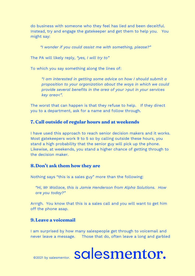do business with someone who they feel has lied and been deceitful. Instead, try and engage the gatekeeper and get them to help you. You might say:

*"I wonder if you could assist me with something, please?"* 

The PA will likely reply, *"yes, I will try to"*

To which you say something along the lines of:

*"I am interested in getting some advice on how I should submit a proposition to your organization about the ways in which we could provide several benefits in the area of your >put in your services key area<".* 

The worst that can happen is that they refuse to help. If they direct you to a department, ask for a name and follow through.

#### **7. Call outside of regular hours and at weekends**

I have used this approach to reach senior decision makers and it works. Most gatekeepers work 9 to 5 so by calling outside these hours, you stand a high probability that the senior guy will pick up the phone. Likewise, at weekends, you stand a higher chance of getting through to the decision maker.

#### **8.Don't ask them how they are**

Nothing says "this is a sales guy" more than the following:

*"Hi, Mr Wallace, this is Jamie Henderson from Alpha Solutions. How are you today?"* 

Arrrgh. You know that this is a sales call and you will want to get him off the phone asap.

#### **9.Leave a voicemail**

I am surprised by how many salespeople get through to voicemail and never leave a message. Those that do, often leave a long and garbled